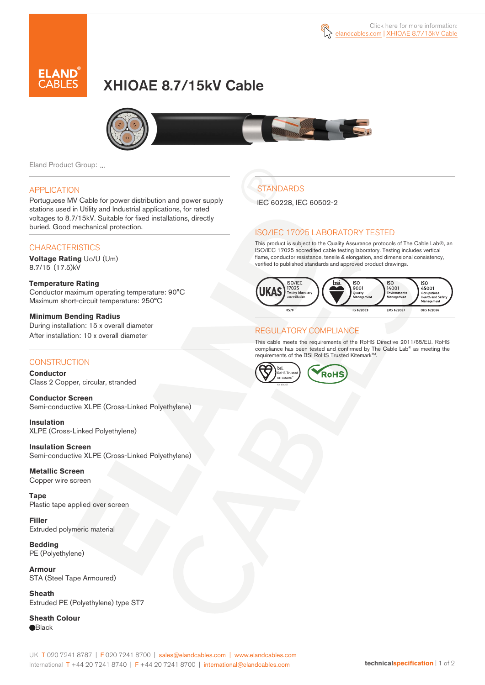

# XHIOAE 8.7/15kV Cable



Eland Product Group: ...

### APPLICATION

Portuguese MV Cable for power distribution and power supply stations used in Utility and Industrial applications, for rated voltages to 8.7/15kV. Suitable for fixed installations, directly buried. Good mechanical protection.

### **CHARACTERISTICS**

**Voltage Rating** Uo/U (Um) 8.7/15 (17.5)kV

#### **Temperature Rating**  Conductor maximum operating temperature: 90°C Maximum short-circuit temperature: 250°C

**Minimum Bending Radius**  During installation: 15 x overall diameter After installation: 10 x overall diameter

### **CONSTRUCTION**

**Conductor**  Class 2 Copper, circular, stranded

**Conductor Screen** Semi-conductive XLPE (Cross-Linked Polyethylene)

**Insulation** XLPE (Cross-Linked Polyethylene)

**Insulation Screen** Semi-conductive XLPE (Cross-Linked Polyethylene)

**Metallic Screen**  Copper wire screen

**Tape** Plastic tape applied over screen

**Filler** Extruded polymeric material

**Bedding** PE (Polyethylene)

**Armour** STA (Steel Tape Armoured)

**Sheath** Extruded PE (Polyethylene) type ST7

**Sheath Colour Black** 

## **STANDARDS**

IEC 60228, IEC 60502-2

### ISO/IEC 17025 LABORATORY TESTED

This product is subject to the Quality Assurance protocols of The Cable Lab®, an ISO/IEC 17025 accredited cable testing laboratory. Testing includes vertical flame, conductor resistance, tensile & elongation, and dimensional consistency, verified to published standards and approved product drawings.



### REGULATORY COMPLIANCE

This cable meets the requirements of the RoHS Directive 2011/65/EU. RoHS compliance has been tested and confirmed by The Cable Lab® as meeting the requirements of the BSI RoHS Trusted Kitemark™.